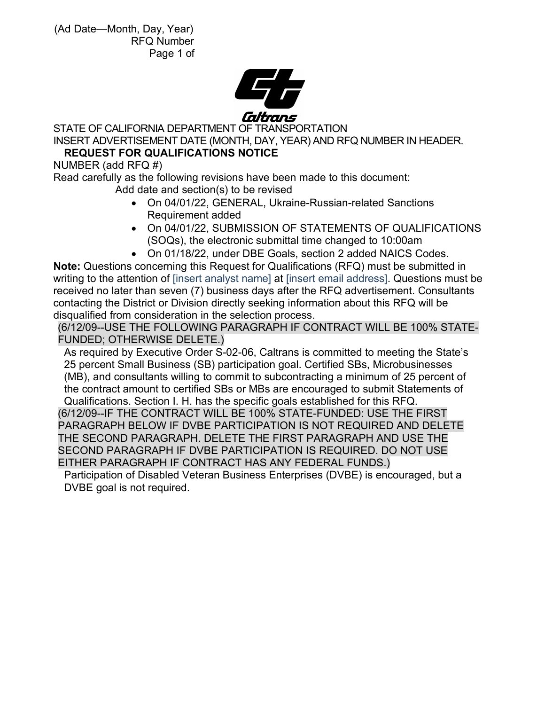

STATE OF CALIFORNIA DEPARTMENT OF TRANSPORTATION INSERT ADVERTISEMENT DATE (MONTH, DAY, YEAR) AND RFQ NUMBER IN HEADER.

# **REQUEST FOR QUALIFICATIONS NOTICE**

NUMBER (add RFQ #)

Read carefully as the following revisions have been made to this document: Add date and section(s) to be revised

- On 04/01/22, GENERAL, Ukraine-Russian-related Sanctions Requirement added
- On 04/01/22, SUBMISSION OF STATEMENTS OF QUALIFICATIONS (SOQs), the electronic submittal time changed to 10:00am
- On 01/18/22, under DBE Goals, section 2 added NAICS Codes.

**Note:** Questions concerning this Request for Qualifications (RFQ) must be submitted in writing to the attention of [insert analyst name] at [insert email address]. Questions must be received no later than seven (7) business days after the RFQ advertisement. Consultants contacting the District or Division directly seeking information about this RFQ will be disqualified from consideration in the selection process.

(6/12/09--USE THE FOLLOWING PARAGRAPH IF CONTRACT WILL BE 100% STATE-FUNDED; OTHERWISE DELETE.)

As required by Executive Order S-02-06, Caltrans is committed to meeting the State's 25 percent Small Business (SB) participation goal. Certified SBs, Microbusinesses (MB), and consultants willing to commit to subcontracting a minimum of 25 percent of the contract amount to certified SBs or MBs are encouraged to submit Statements of

Qualifications. Section I. H. has the specific goals established for this RFQ. (6/12/09--IF THE CONTRACT WILL BE 100% STATE-FUNDED: USE THE FIRST PARAGRAPH BELOW IF DVBE PARTICIPATION IS NOT REQUIRED AND DELETE THE SECOND PARAGRAPH. DELETE THE FIRST PARAGRAPH AND USE THE SECOND PARAGRAPH IF DVBE PARTICIPATION IS REQUIRED. DO NOT USE EITHER PARAGRAPH IF CONTRACT HAS ANY FEDERAL FUNDS.)

Participation of Disabled Veteran Business Enterprises (DVBE) is encouraged, but a DVBE goal is not required.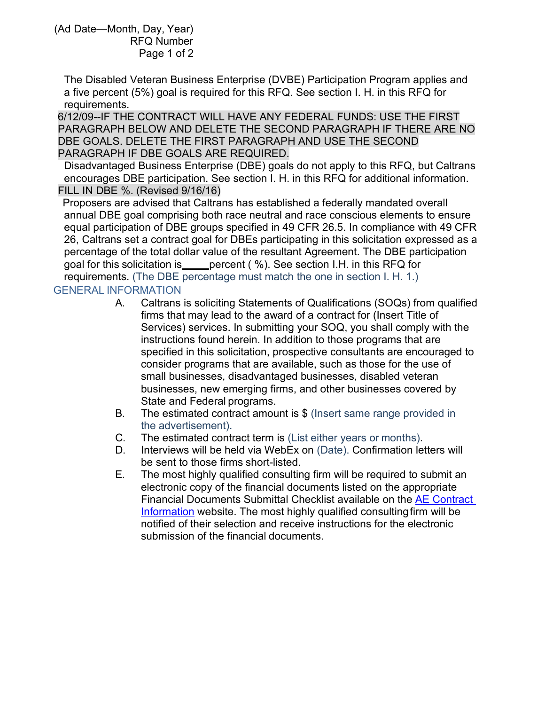The Disabled Veteran Business Enterprise (DVBE) Participation Program applies and a five percent (5%) goal is required for this RFQ. See section I. H. in this RFQ for requirements.

6/12/09--IF THE CONTRACT WILL HAVE ANY FEDERAL FUNDS: USE THE FIRST PARAGRAPH BELOW AND DELETE THE SECOND PARAGRAPH IF THERE ARE NO DBE GOALS. DELETE THE FIRST PARAGRAPH AND USE THE SECOND PARAGRAPH IF DBE GOALS ARE REQUIRED.

Disadvantaged Business Enterprise (DBE) goals do not apply to this RFQ, but Caltrans encourages DBE participation. See section I. H. in this RFQ for additional information. FILL IN DBE %. (Revised 9/16/16)

Proposers are advised that Caltrans has established a federally mandated overall annual DBE goal comprising both race neutral and race conscious elements to ensure equal participation of DBE groups specified in 49 CFR 26.5. In compliance with 49 CFR 26, Caltrans set a contract goal for DBEs participating in this solicitation expressed as a percentage of the total dollar value of the resultant Agreement. The DBE participation goal for this solicitation is expercent (%). See section I.H. in this RFQ for requirements. (The DBE percentage must match the one in section I. H. 1.)

### GENERAL INFORMATION

- A. Caltrans is soliciting Statements of Qualifications (SOQs) from qualified firms that may lead to the award of a contract for (Insert Title of Services) services. In submitting your SOQ, you shall comply with the instructions found herein. In addition to those programs that are specified in this solicitation, prospective consultants are encouraged to consider programs that are available, such as those for the use of small businesses, disadvantaged businesses, disabled veteran businesses, new emerging firms, and other businesses covered by State and Federal programs.
- B. The estimated contract amount is \$ (Insert same range provided in the advertisement).
- C. The estimated contract term is (List either years or months).
- D. Interviews will be held via WebEx on (Date). Confirmation letters will be sent to those firms short-listed.
- E. The most highly qualified consulting firm will be required to submit an electronic copy of the financial documents listed on the appropriate Financial Documents Submittal Checklist available on the [AE Contract](https://dot.ca.gov/programs/procurement-and-contracts/ae-contract-information)  [Information](https://dot.ca.gov/programs/procurement-and-contracts/ae-contract-information) website. The most highly qualified consultingfirm will be notified of their selection and receive instructions for the electronic submission of the financial documents.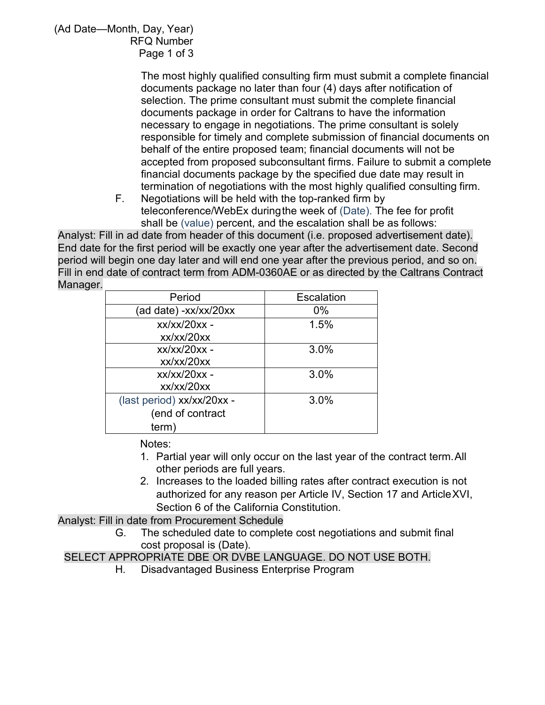> The most highly qualified consulting firm must submit a complete financial documents package no later than four (4) days after notification of selection. The prime consultant must submit the complete financial documents package in order for Caltrans to have the information necessary to engage in negotiations. The prime consultant is solely responsible for timely and complete submission of financial documents on behalf of the entire proposed team; financial documents will not be accepted from proposed subconsultant firms. Failure to submit a complete financial documents package by the specified due date may result in termination of negotiations with the most highly qualified consulting firm.

F. Negotiations will be held with the top-ranked firm by teleconference/WebEx duringthe week of (Date). The fee for profit shall be (value) percent, and the escalation shall be as follows:

Analyst: Fill in ad date from header of this document (i.e. proposed advertisement date). End date for the first period will be exactly one year after the advertisement date. Second period will begin one day later and will end one year after the previous period, and so on. Fill in end date of contract term from ADM-0360AE or as directed by the Caltrans Contract Manager.

| Period                     | Escalation |
|----------------------------|------------|
| (ad date) -xx/xx/20xx      | $0\%$      |
| xx/xx/20xx -               | 1.5%       |
| xx/xx/20xx                 |            |
| xx/xx/20xx -               | 3.0%       |
| xx/xx/20xx                 |            |
| xx/xx/20xx -               | 3.0%       |
| xx/xx/20xx                 |            |
| (last period) xx/xx/20xx - | 3.0%       |
| (end of contract           |            |
| term)                      |            |

## Notes:

- 1. Partial year will only occur on the last year of the contract term.All other periods are full years.
- 2. Increases to the loaded billing rates after contract execution is not authorized for any reason per Article IV, Section 17 and ArticleXVI, Section 6 of the California Constitution.

Analyst: Fill in date from Procurement Schedule

G. The scheduled date to complete cost negotiations and submit final cost proposal is (Date).

# SELECT APPROPRIATE DBE OR DVBE LANGUAGE. DO NOT USE BOTH.

H. Disadvantaged Business Enterprise Program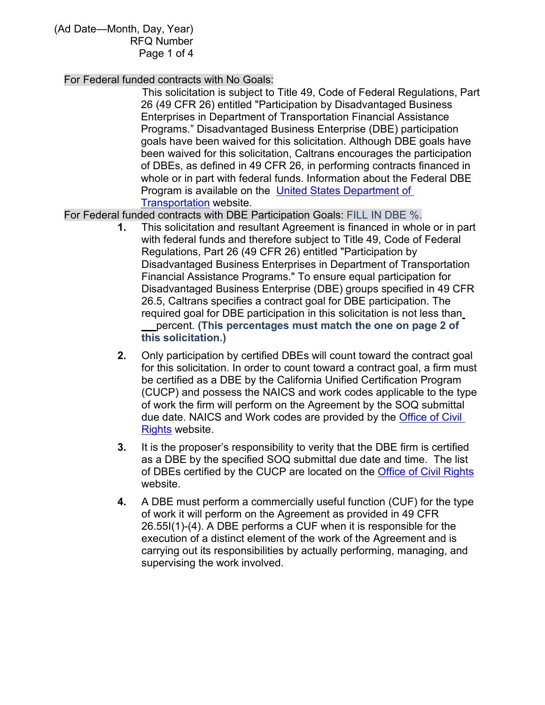#### For Federal funded contracts with No Goals:

This solicitation is subject to Title 49, Code of Federal Regulations, Part 26 (49 CFR 26) entitled "Participation by Disadvantaged Business Enterprises in Department of Transportation Financial Assistance Programs." Disadvantaged Business Enterprise (DBE) participation goals have been waived for this solicitation. Although DBE goals have been waived for this solicitation, Caltrans encourages the participation of DBEs, as defined in 49 CFR 26, in performing contracts financed in whole or in part with federal funds. Information about the Federal DBE Program is available on the [United States Department of](https://www.fhwa.dot.gov/civilrights/programs/dbe/)  [Transportation](https://www.fhwa.dot.gov/civilrights/programs/dbe/) website.

For Federal funded contracts with DBE Participation Goals: FILL IN DBE %.

- **1.** This solicitation and resultant Agreement is financed in whole or in part with federal funds and therefore subject to Title 49, Code of Federal Regulations, Part 26 (49 CFR 26) entitled "Participation by Disadvantaged Business Enterprises in Department of Transportation Financial Assistance Programs." To ensure equal participation for Disadvantaged Business Enterprise (DBE) groups specified in 49 CFR 26.5, Caltrans specifies a contract goal for DBE participation. The required goal for DBE participation in this solicitation is not less than percent. **(This percentages must match the one on page 2 of this solicitation.)**
- **2.** Only participation by certified DBEs will count toward the contract goal for this solicitation. In order to count toward a contract goal, a firm must be certified as a DBE by the California Unified Certification Program (CUCP) and possess the NAICS and work codes applicable to the type of work the firm will perform on the Agreement by the SOQ submittal due date. NAICS and Work codes are provided by the [Office of Civil](https://dot.ca.gov/programs/civil-rights)  [Rights](https://dot.ca.gov/programs/civil-rights) website.
- **3.** It is the proposer's responsibility to verity that the DBE firm is certified as a DBE by the specified SOQ submittal due date and time. The list of DBEs certified by the CUCP are located on the [Office of Civil Rights](https://dot.ca.gov/programs/civil-rights) website.
- **4.** A DBE must perform a commercially useful function (CUF) for the type of work it will perform on the Agreement as provided in 49 CFR 26.55I(1)-(4). A DBE performs a CUF when it is responsible for the execution of a distinct element of the work of the Agreement and is carrying out its responsibilities by actually performing, managing, and supervising the work involved.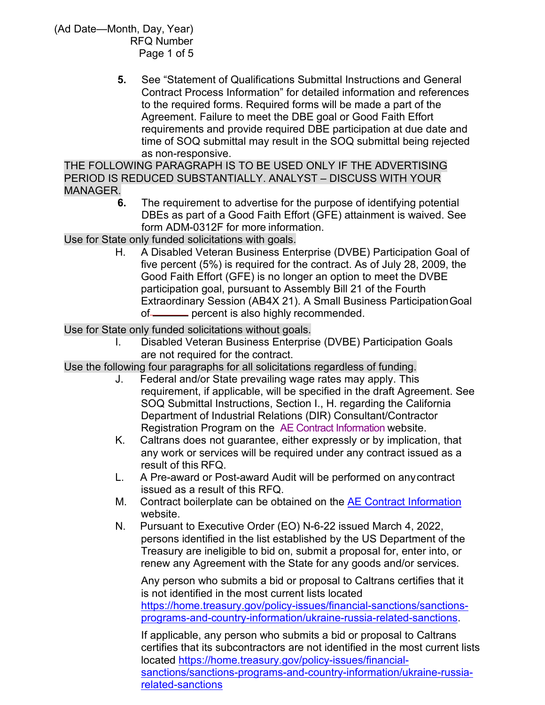> **5.** See "Statement of Qualifications Submittal Instructions and General Contract Process Information" for detailed information and references to the required forms. Required forms will be made a part of the Agreement. Failure to meet the DBE goal or Good Faith Effort requirements and provide required DBE participation at due date and time of SOQ submittal may result in the SOQ submittal being rejected as non-responsive.

THE FOLLOWING PARAGRAPH IS TO BE USED ONLY IF THE ADVERTISING PERIOD IS REDUCED SUBSTANTIALLY. ANALYST – DISCUSS WITH YOUR MANAGER.

**6.** The requirement to advertise for the purpose of identifying potential DBEs as part of a Good Faith Effort (GFE) attainment is waived. See form ADM-0312F for more information.

Use for State only funded solicitations with goals.

H. A Disabled Veteran Business Enterprise (DVBE) Participation Goal of five percent (5%) is required for the contract. As of July 28, 2009, the Good Faith Effort (GFE) is no longer an option to meet the DVBE participation goal, pursuant to Assembly Bill 21 of the Fourth Extraordinary Session (AB4X 21). A Small Business Participation Goal of percent is also highly recommended.

Use for State only funded solicitations without goals.

I. Disabled Veteran Business Enterprise (DVBE) Participation Goals are not required for the contract.

Use the following four paragraphs for all solicitations regardless of funding.

- J. Federal and/or State prevailing wage rates may apply. This requirement, if applicable, will be specified in the draft Agreement. See SOQ Submittal Instructions, Section I., H. regarding the California Department of Industrial Relations (DIR) Consultant/Contractor Registration Program on the [AE Contract Information](https://dot.ca.gov/programs/procurement-and-contracts/ae-contract-information) website.
- K. Caltrans does not guarantee, either expressly or by implication, that any work or services will be required under any contract issued as a result of this RFQ.
- L. A Pre-award or Post-award Audit will be performed on any contract issued as a result of this RFQ.
- M. Contract boilerplate can be obtained on the [AE Contract Information](https://dot.ca.gov/programs/procurement-and-contracts/ae-contract-information)  website.
- N. Pursuant to Executive Order (EO) N-6-22 issued March 4, 2022, persons identified in the list established by the US Department of the Treasury are ineligible to bid on, submit a proposal for, enter into, or renew any Agreement with the State for any goods and/or services.

Any person who submits a bid or proposal to Caltrans certifies that it is not identified in the most current lists located [https://home.treasury.gov/policy-issues/financial-sanctions/sanctions](https://home.treasury.gov/policy-issues/financial-sanctions/sanctions-programs-and-country-information/ukraine-russia-related-sanctions)[programs-and-country-information/ukraine-russia-related-sanctions.](https://home.treasury.gov/policy-issues/financial-sanctions/sanctions-programs-and-country-information/ukraine-russia-related-sanctions)

If applicable, any person who submits a bid or proposal to Caltrans certifies that its subcontractors are not identified in the most current lists located [https://home.treasury.gov/policy-issues/financial](https://home.treasury.gov/policy-issues/financial-sanctions/sanctions-programs-and-country-information/ukraine-russia-related-sanctions)[sanctions/sanctions-programs-and-country-information/ukraine-russia](https://home.treasury.gov/policy-issues/financial-sanctions/sanctions-programs-and-country-information/ukraine-russia-related-sanctions)[related-sanctions](https://home.treasury.gov/policy-issues/financial-sanctions/sanctions-programs-and-country-information/ukraine-russia-related-sanctions)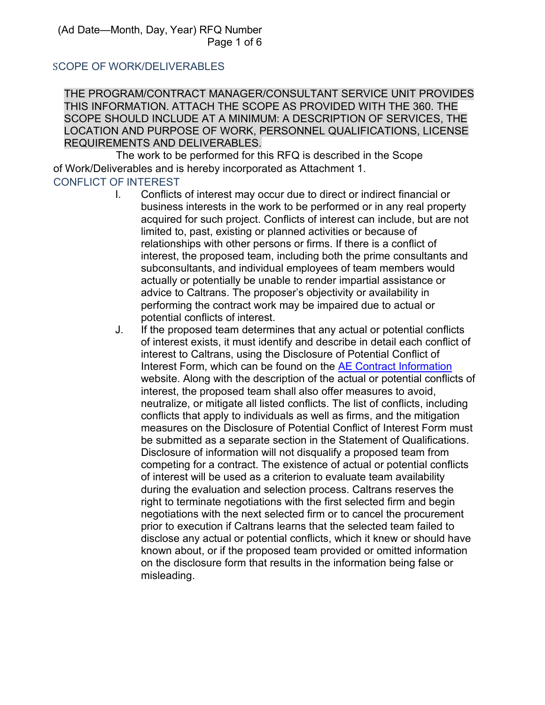## SCOPE OF WORK/DELIVERABLES

THE PROGRAM/CONTRACT MANAGER/CONSULTANT SERVICE UNIT PROVIDES THIS INFORMATION. ATTACH THE SCOPE AS PROVIDED WITH THE 360. THE SCOPE SHOULD INCLUDE AT A MINIMUM: A DESCRIPTION OF SERVICES, THE LOCATION AND PURPOSE OF WORK, PERSONNEL QUALIFICATIONS, LICENSE REQUIREMENTS AND DELIVERABLES.

The work to be performed for this RFQ is described in the Scope of Work/Deliverables and is hereby incorporated as Attachment 1.

## CONFLICT OF INTEREST

- I. Conflicts of interest may occur due to direct or indirect financial or business interests in the work to be performed or in any real property acquired for such project. Conflicts of interest can include, but are not limited to, past, existing or planned activities or because of relationships with other persons or firms. If there is a conflict of interest, the proposed team, including both the prime consultants and subconsultants, and individual employees of team members would actually or potentially be unable to render impartial assistance or advice to Caltrans. The proposer's objectivity or availability in performing the contract work may be impaired due to actual or potential conflicts of interest.
- J. If the proposed team determines that any actual or potential conflicts of interest exists, it must identify and describe in detail each conflict of interest to Caltrans, using the Disclosure of Potential Conflict of Interest Form, which can be found on the [AE Contract Information](https://dot.ca.gov/programs/procurement-and-contracts/ae-contract-information) website. Along with the description of the actual or potential conflicts of interest, the proposed team shall also offer measures to avoid, neutralize, or mitigate all listed conflicts. The list of conflicts, including conflicts that apply to individuals as well as firms, and the mitigation measures on the Disclosure of Potential Conflict of Interest Form must be submitted as a separate section in the Statement of Qualifications. Disclosure of information will not disqualify a proposed team from competing for a contract. The existence of actual or potential conflicts of interest will be used as a criterion to evaluate team availability during the evaluation and selection process. Caltrans reserves the right to terminate negotiations with the first selected firm and begin negotiations with the next selected firm or to cancel the procurement prior to execution if Caltrans learns that the selected team failed to disclose any actual or potential conflicts, which it knew or should have known about, or if the proposed team provided or omitted information on the disclosure form that results in the information being false or misleading.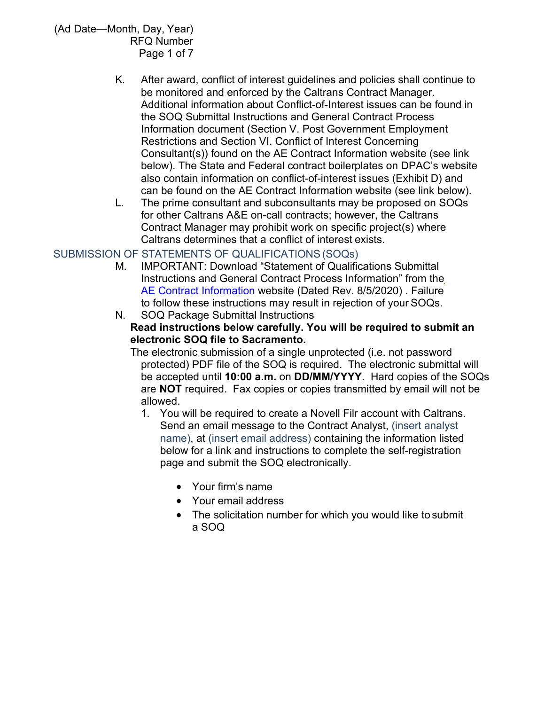- K. After award, conflict of interest guidelines and policies shall continue to be monitored and enforced by the Caltrans Contract Manager. Additional information about Conflict-of-Interest issues can be found in the SOQ Submittal Instructions and General Contract Process Information document (Section V. Post Government Employment Restrictions and Section VI. Conflict of Interest Concerning Consultant(s)) found on the AE Contract Information website (see link below). The State and Federal contract boilerplates on DPAC's website also contain information on conflict-of-interest issues (Exhibit D) and can be found on the AE Contract Information website (see link below).
- L. The prime consultant and subconsultants may be proposed on SOQs for other Caltrans A&E on-call contracts; however, the Caltrans Contract Manager may prohibit work on specific project(s) where Caltrans determines that a conflict of interest exists.

## SUBMISSION OF STATEMENTS OF QUALIFICATIONS(SOQs)

- M. IMPORTANT: Download "Statement of Qualifications Submittal Instructions and General Contract Process Information" from the [AE Contract Information](https://dot.ca.gov/programs/procurement-and-contracts/ae-contract-information) website (Dated Rev. 8/5/2020) . Failure to follow these instructions may result in rejection of your SOQs.
- N. SOQ Package Submittal Instructions **Read instructions below carefully. You will be required to submit an electronic SOQ file to Sacramento.**

The electronic submission of a single unprotected (i.e. not password protected) PDF file of the SOQ is required. The electronic submittal will be accepted until **10:00 a.m.** on **DD/MM/YYYY**. Hard copies of the SOQs are **NOT** required. Fax copies or copies transmitted by email will not be allowed.

- 1. You will be required to create a Novell Filr account with Caltrans. Send an email message to the Contract Analyst, (insert analyst name), at (insert email address) containing the information listed below for a link and instructions to complete the self-registration page and submit the SOQ electronically.
	- Your firm's name
	- Your email address
	- The solicitation number for which you would like to submit a SOQ